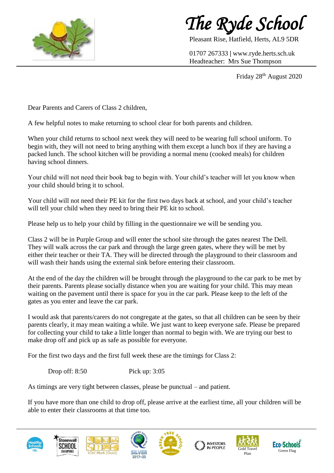

*The Ryde School*

Pleasant Rise, Hatfield, Herts, AL9 5DR

01707 267333 **|** www.ryde.herts.sch.uk Headteacher: Mrs Sue Thompson

Friday 28<sup>th</sup> August 2020

Dear Parents and Carers of Class 2 children,

A few helpful notes to make returning to school clear for both parents and children.

When your child returns to school next week they will need to be wearing full school uniform. To begin with, they will not need to bring anything with them except a lunch box if they are having a packed lunch. The school kitchen will be providing a normal menu (cooked meals) for children having school dinners.

Your child will not need their book bag to begin with. Your child's teacher will let you know when your child should bring it to school.

Your child will not need their PE kit for the first two days back at school, and your child's teacher will tell your child when they need to bring their PE kit to school.

Please help us to help your child by filling in the questionnaire we will be sending you.

Class 2 will be in Purple Group and will enter the school site through the gates nearest The Dell. They will walk across the car park and through the large green gates, where they will be met by either their teacher or their TA. They will be directed through the playground to their classroom and will wash their hands using the external sink before entering their classroom.

At the end of the day the children will be brought through the playground to the car park to be met by their parents. Parents please socially distance when you are waiting for your child. This may mean waiting on the pavement until there is space for you in the car park. Please keep to the left of the gates as you enter and leave the car park.

I would ask that parents/carers do not congregate at the gates, so that all children can be seen by their parents clearly, it may mean waiting a while. We just want to keep everyone safe. Please be prepared for collecting your child to take a little longer than normal to begin with. We are trying our best to make drop off and pick up as safe as possible for everyone.

For the first two days and the first full week these are the timings for Class 2:

Drop off: 8:50 Pick up: 3:05

As timings are very tight between classes, please be punctual – and patient.

If you have more than one child to drop off, please arrive at the earliest time, all your children will be able to enter their classrooms at that time too.